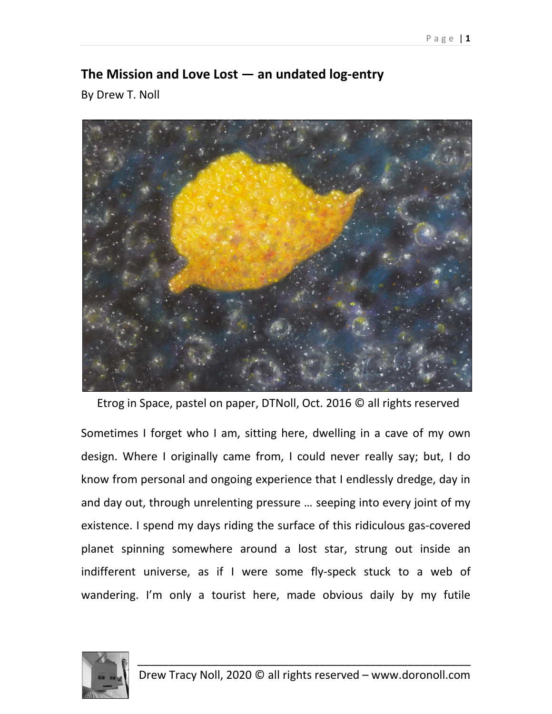## **The Mission and Love Lost — an undated log-entry**

By Drew T. Noll



Etrog in Space, pastel on paper, DTNoll, Oct. 2016 © all rights reserved

Sometimes I forget who I am, sitting here, dwelling in a cave of my own design. Where I originally came from, I could never really say; but, I do know from personal and ongoing experience that I endlessly dredge, day in and day out, through unrelenting pressure … seeping into every joint of my existence. I spend my days riding the surface of this ridiculous gas-covered planet spinning somewhere around a lost star, strung out inside an indifferent universe, as if I were some fly-speck stuck to a web of wandering. I'm only a tourist here, made obvious daily by my futile

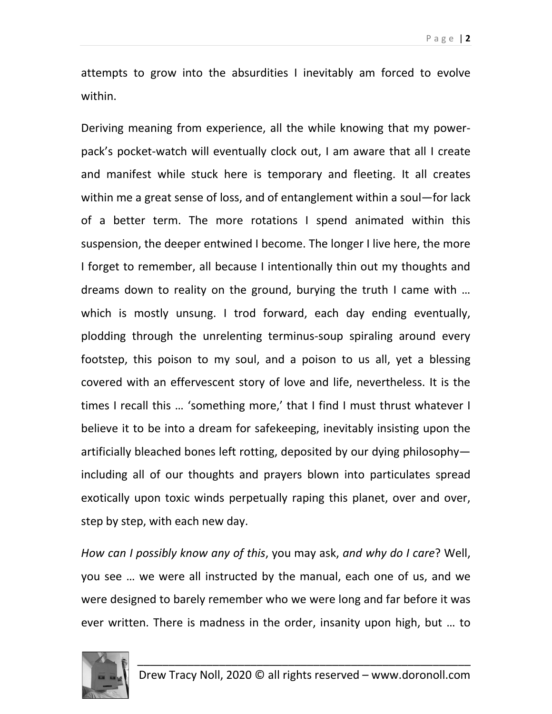attempts to grow into the absurdities I inevitably am forced to evolve within.

Deriving meaning from experience, all the while knowing that my powerpack's pocket-watch will eventually clock out, I am aware that all I create and manifest while stuck here is temporary and fleeting. It all creates within me a great sense of loss, and of entanglement within a soul—for lack of a better term. The more rotations I spend animated within this suspension, the deeper entwined I become. The longer I live here, the more I forget to remember, all because I intentionally thin out my thoughts and dreams down to reality on the ground, burying the truth I came with … which is mostly unsung. I trod forward, each day ending eventually, plodding through the unrelenting terminus-soup spiraling around every footstep, this poison to my soul, and a poison to us all, yet a blessing covered with an effervescent story of love and life, nevertheless. It is the times I recall this … 'something more,' that I find I must thrust whatever I believe it to be into a dream for safekeeping, inevitably insisting upon the artificially bleached bones left rotting, deposited by our dying philosophy including all of our thoughts and prayers blown into particulates spread exotically upon toxic winds perpetually raping this planet, over and over, step by step, with each new day.

*How can I possibly know any of this*, you may ask, *and why do I care*? Well, you see … we were all instructed by the manual, each one of us, and we were designed to barely remember who we were long and far before it was ever written. There is madness in the order, insanity upon high, but … to

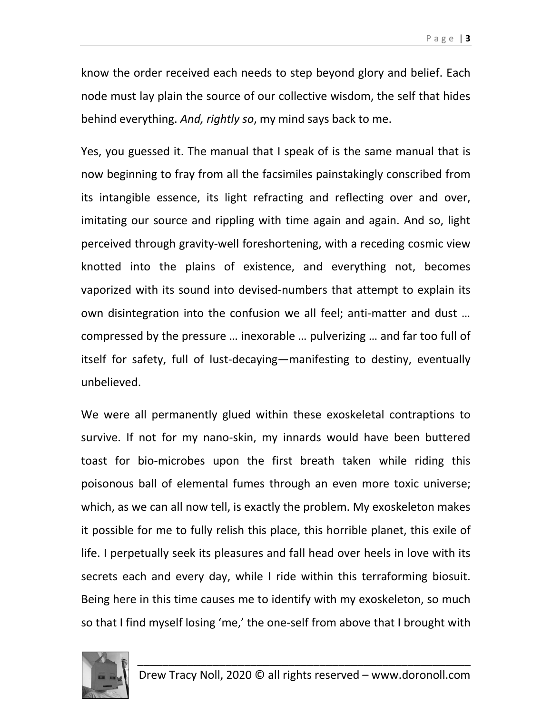know the order received each needs to step beyond glory and belief. Each node must lay plain the source of our collective wisdom, the self that hides behind everything. *And, rightly so*, my mind says back to me.

Yes, you guessed it. The manual that I speak of is the same manual that is now beginning to fray from all the facsimiles painstakingly conscribed from its intangible essence, its light refracting and reflecting over and over, imitating our source and rippling with time again and again. And so, light perceived through gravity-well foreshortening, with a receding cosmic view knotted into the plains of existence, and everything not, becomes vaporized with its sound into devised-numbers that attempt to explain its own disintegration into the confusion we all feel; anti-matter and dust … compressed by the pressure … inexorable … pulverizing … and far too full of itself for safety, full of lust-decaying—manifesting to destiny, eventually unbelieved.

We were all permanently glued within these exoskeletal contraptions to survive. If not for my nano-skin, my innards would have been buttered toast for bio-microbes upon the first breath taken while riding this poisonous ball of elemental fumes through an even more toxic universe; which, as we can all now tell, is exactly the problem. My exoskeleton makes it possible for me to fully relish this place, this horrible planet, this exile of life. I perpetually seek its pleasures and fall head over heels in love with its secrets each and every day, while I ride within this terraforming biosuit. Being here in this time causes me to identify with my exoskeleton, so much so that I find myself losing 'me,' the one-self from above that I brought with

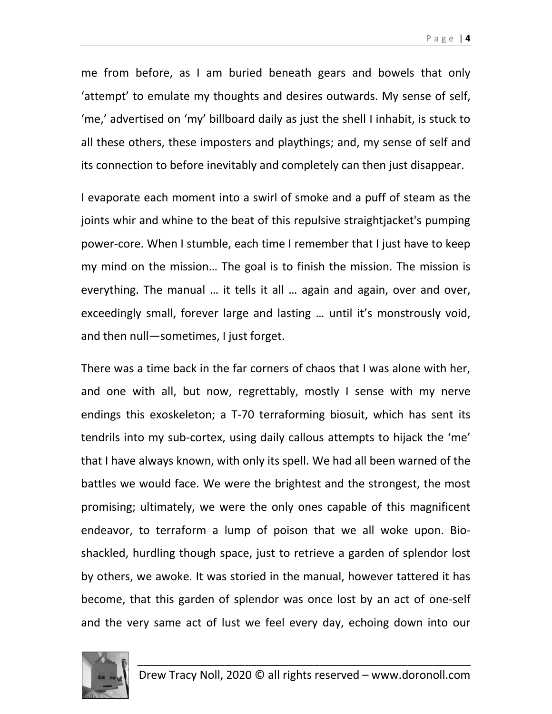me from before, as I am buried beneath gears and bowels that only 'attempt' to emulate my thoughts and desires outwards. My sense of self, 'me,' advertised on 'my' billboard daily as just the shell I inhabit, is stuck to all these others, these imposters and playthings; and, my sense of self and its connection to before inevitably and completely can then just disappear.

I evaporate each moment into a swirl of smoke and a puff of steam as the joints whir and whine to the beat of this repulsive straightjacket's pumping power-core. When I stumble, each time I remember that I just have to keep my mind on the mission… The goal is to finish the mission. The mission is everything. The manual … it tells it all … again and again, over and over, exceedingly small, forever large and lasting … until it's monstrously void, and then null—sometimes, I just forget.

There was a time back in the far corners of chaos that I was alone with her, and one with all, but now, regrettably, mostly I sense with my nerve endings this exoskeleton; a T-70 terraforming biosuit, which has sent its tendrils into my sub-cortex, using daily callous attempts to hijack the 'me' that I have always known, with only its spell. We had all been warned of the battles we would face. We were the brightest and the strongest, the most promising; ultimately, we were the only ones capable of this magnificent endeavor, to terraform a lump of poison that we all woke upon. Bioshackled, hurdling though space, just to retrieve a garden of splendor lost by others, we awoke. It was storied in the manual, however tattered it has become, that this garden of splendor was once lost by an act of one-self and the very same act of lust we feel every day, echoing down into our

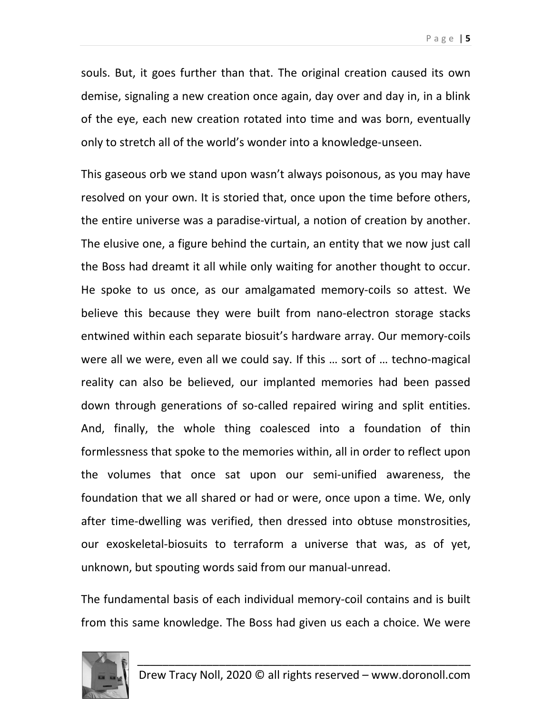souls. But, it goes further than that. The original creation caused its own demise, signaling a new creation once again, day over and day in, in a blink of the eye, each new creation rotated into time and was born, eventually only to stretch all of the world's wonder into a knowledge-unseen.

This gaseous orb we stand upon wasn't always poisonous, as you may have resolved on your own. It is storied that, once upon the time before others, the entire universe was a paradise-virtual, a notion of creation by another. The elusive one, a figure behind the curtain, an entity that we now just call the Boss had dreamt it all while only waiting for another thought to occur. He spoke to us once, as our amalgamated memory-coils so attest. We believe this because they were built from nano-electron storage stacks entwined within each separate biosuit's hardware array. Our memory-coils were all we were, even all we could say. If this … sort of … techno-magical reality can also be believed, our implanted memories had been passed down through generations of so-called repaired wiring and split entities. And, finally, the whole thing coalesced into a foundation of thin formlessness that spoke to the memories within, all in order to reflect upon the volumes that once sat upon our semi-unified awareness, the foundation that we all shared or had or were, once upon a time. We, only after time-dwelling was verified, then dressed into obtuse monstrosities, our exoskeletal-biosuits to terraform a universe that was, as of yet, unknown, but spouting words said from our manual-unread.

The fundamental basis of each individual memory-coil contains and is built from this same knowledge. The Boss had given us each a choice. We were

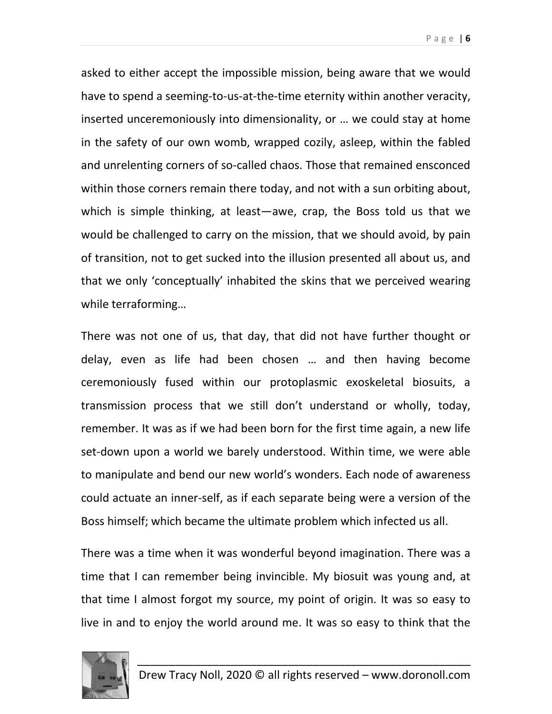Page | **6**

asked to either accept the impossible mission, being aware that we would have to spend a seeming-to-us-at-the-time eternity within another veracity, inserted unceremoniously into dimensionality, or … we could stay at home in the safety of our own womb, wrapped cozily, asleep, within the fabled and unrelenting corners of so-called chaos. Those that remained ensconced within those corners remain there today, and not with a sun orbiting about, which is simple thinking, at least—awe, crap, the Boss told us that we would be challenged to carry on the mission, that we should avoid, by pain of transition, not to get sucked into the illusion presented all about us, and that we only 'conceptually' inhabited the skins that we perceived wearing while terraforming…

There was not one of us, that day, that did not have further thought or delay, even as life had been chosen … and then having become ceremoniously fused within our protoplasmic exoskeletal biosuits, a transmission process that we still don't understand or wholly, today, remember. It was as if we had been born for the first time again, a new life set-down upon a world we barely understood. Within time, we were able to manipulate and bend our new world's wonders. Each node of awareness could actuate an inner-self, as if each separate being were a version of the Boss himself; which became the ultimate problem which infected us all.

There was a time when it was wonderful beyond imagination. There was a time that I can remember being invincible. My biosuit was young and, at that time I almost forgot my source, my point of origin. It was so easy to live in and to enjoy the world around me. It was so easy to think that the

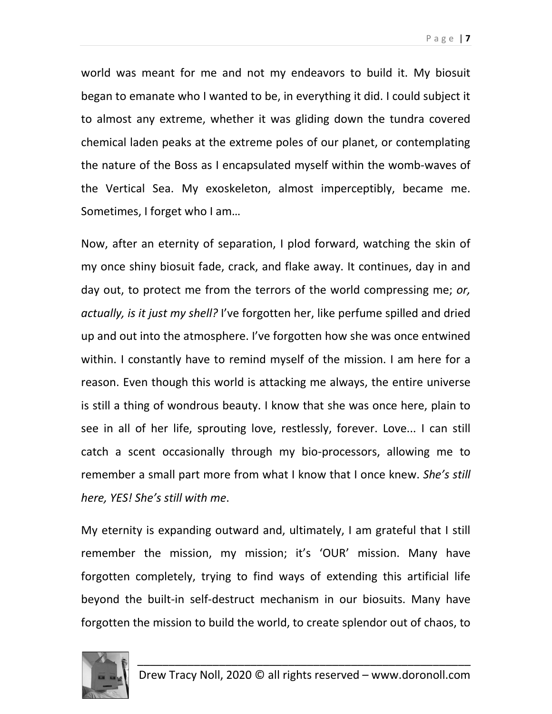Page | **7**

world was meant for me and not my endeavors to build it. My biosuit began to emanate who I wanted to be, in everything it did. I could subject it to almost any extreme, whether it was gliding down the tundra covered chemical laden peaks at the extreme poles of our planet, or contemplating the nature of the Boss as I encapsulated myself within the womb-waves of the Vertical Sea. My exoskeleton, almost imperceptibly, became me. Sometimes, I forget who I am…

Now, after an eternity of separation, I plod forward, watching the skin of my once shiny biosuit fade, crack, and flake away. It continues, day in and day out, to protect me from the terrors of the world compressing me; *or, actually, is it just my shell?* I've forgotten her, like perfume spilled and dried up and out into the atmosphere. I've forgotten how she was once entwined within. I constantly have to remind myself of the mission. I am here for a reason. Even though this world is attacking me always, the entire universe is still a thing of wondrous beauty. I know that she was once here, plain to see in all of her life, sprouting love, restlessly, forever. Love... I can still catch a scent occasionally through my bio-processors, allowing me to remember a small part more from what I know that I once knew. *She's still here, YES! She's still with me*.

My eternity is expanding outward and, ultimately, I am grateful that I still remember the mission, my mission; it's 'OUR' mission. Many have forgotten completely, trying to find ways of extending this artificial life beyond the built-in self-destruct mechanism in our biosuits. Many have forgotten the mission to build the world, to create splendor out of chaos, to

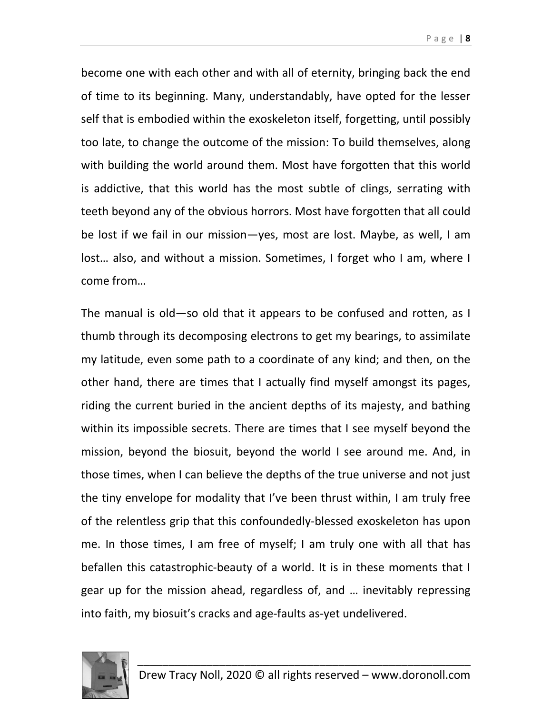become one with each other and with all of eternity, bringing back the end of time to its beginning. Many, understandably, have opted for the lesser self that is embodied within the exoskeleton itself, forgetting, until possibly too late, to change the outcome of the mission: To build themselves, along with building the world around them. Most have forgotten that this world is addictive, that this world has the most subtle of clings, serrating with teeth beyond any of the obvious horrors. Most have forgotten that all could be lost if we fail in our mission—yes, most are lost. Maybe, as well, I am lost… also, and without a mission. Sometimes, I forget who I am, where I come from…

The manual is old—so old that it appears to be confused and rotten, as I thumb through its decomposing electrons to get my bearings, to assimilate my latitude, even some path to a coordinate of any kind; and then, on the other hand, there are times that I actually find myself amongst its pages, riding the current buried in the ancient depths of its majesty, and bathing within its impossible secrets. There are times that I see myself beyond the mission, beyond the biosuit, beyond the world I see around me. And, in those times, when I can believe the depths of the true universe and not just the tiny envelope for modality that I've been thrust within, I am truly free of the relentless grip that this confoundedly-blessed exoskeleton has upon me. In those times, I am free of myself; I am truly one with all that has befallen this catastrophic-beauty of a world. It is in these moments that I gear up for the mission ahead, regardless of, and … inevitably repressing into faith, my biosuit's cracks and age-faults as-yet undelivered.